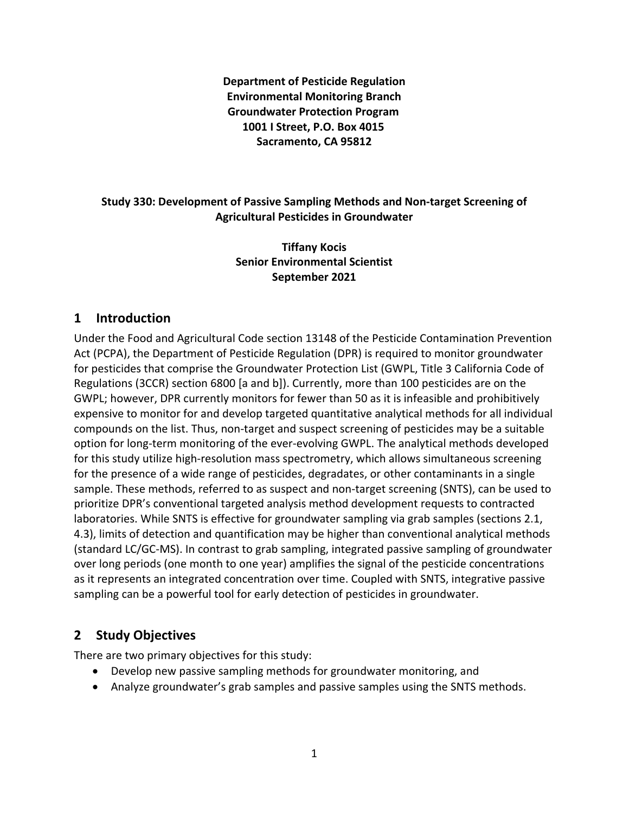**Department of Pesticide Regulation Environmental Monitoring Branch Groundwater Protection Program 1001 I Street, P.O. Box 4015 Sacramento, CA 95812** 

#### **Study 330: Development of Passive Sampling Methods and Non-target Screening of Agricultural Pesticides in Groundwater**

**Tiffany Kocis Senior Environmental Scientist September 2021** 

### **1 Introduction**

Under the Food and Agricultural Code section 13148 of the Pesticide Contamination Prevention Act (PCPA), the Department of Pesticide Regulation (DPR) is required to monitor groundwater for pesticides that comprise the Groundwater Protection List (GWPL, Title 3 California Code of Regulations (3CCR) section 6800 [a and b]). Currently, more than 100 pesticides are on the GWPL; however, DPR currently monitors for fewer than 50 as it is infeasible and prohibitively expensive to monitor for and develop targeted quantitative analytical methods for all individual compounds on the list. Thus, non-target and suspect screening of pesticides may be a suitable option for long-term monitoring of the ever-evolving GWPL. The analytical methods developed for this study utilize high-resolution mass spectrometry, which allows simultaneous screening for the presence of a wide range of pesticides, degradates, or other contaminants in a single sample. These methods, referred to as suspect and non-target screening (SNTS), can be used to prioritize DPR's conventional targeted analysis method development requests to contracted laboratories. While SNTS is effective for groundwater sampling via grab samples (sections 2.1, 4.3), limits of detection and quantification may be higher than conventional analytical methods (standard LC/GC-MS). In contrast to grab sampling, integrated passive sampling of groundwater over long periods (one month to one year) amplifies the signal of the pesticide concentrations as it represents an integrated concentration over time. Coupled with SNTS, integrative passive sampling can be a powerful tool for early detection of pesticides in groundwater.

## **2 Study Objectives**

There are two primary objectives for this study:

- Develop new passive sampling methods for groundwater monitoring, and
- Analyze groundwater's grab samples and passive samples using the SNTS methods.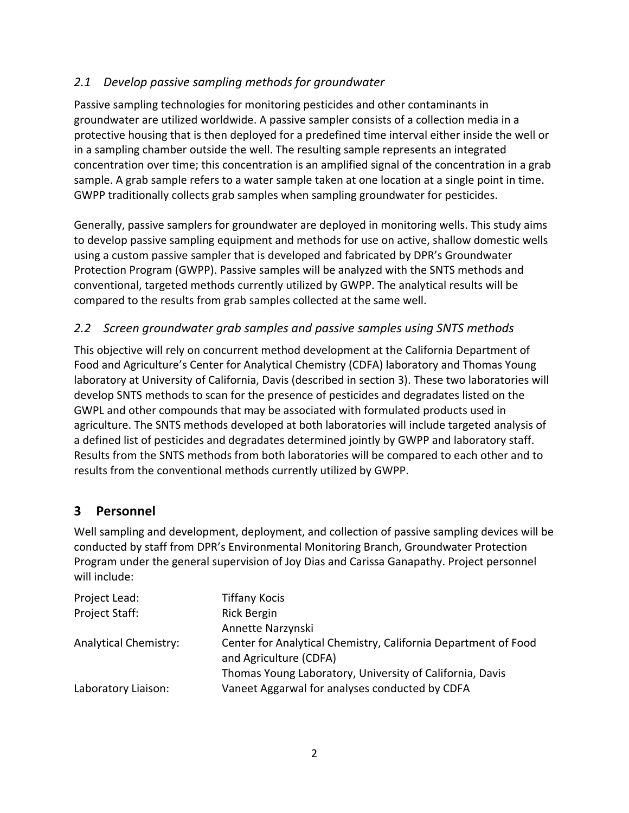## *2.1 Develop passive sampling methods for groundwater*

Passive sampling technologies for monitoring pesticides and other contaminants in groundwater are utilized worldwide. A passive sampler consists of a collection media in a protective housing that is then deployed for a predefined time interval either inside the well or in a sampling chamber outside the well. The resulting sample represents an integrated concentration over time; this concentration is an amplified signal of the concentration in a grab sample. A grab sample refers to a water sample taken at one location at a single point in time. GWPP traditionally collects grab samples when sampling groundwater for pesticides.

Generally, passive samplers for groundwater are deployed in monitoring wells. This study aims to develop passive sampling equipment and methods for use on active, shallow domestic wells using a custom passive sampler that is developed and fabricated by DPR's Groundwater Protection Program (GWPP). Passive samples will be analyzed with the SNTS methods and conventional, targeted methods currently utilized by GWPP. The analytical results will be compared to the results from grab samples collected at the same well.

### *2.2 Screen groundwater grab samples and passive samples using SNTS methods*

This objective will rely on concurrent method development at the California Department of Food and Agriculture's Center for Analytical Chemistry (CDFA) laboratory and Thomas Young laboratory at University of California, Davis (described in section [3\)](#page-1-0). These two laboratories will develop SNTS methods to scan for the presence of pesticides and degradates listed on the GWPL and other compounds that may be associated with formulated products used in agriculture. The SNTS methods developed at both laboratories will include targeted analysis of a defined list of pesticides and degradates determined jointly by GWPP and laboratory staff. Results from the SNTS methods from both laboratories will be compared to each other and to results from the conventional methods currently utilized by GWPP.

## <span id="page-1-0"></span>**3 Personnel**

Well sampling and development, deployment, and collection of passive sampling devices will be conducted by staff from DPR's Environmental Monitoring Branch, Groundwater Protection Program under the general supervision of Joy Dias and Carissa Ganapathy. Project personnel will include:

| Project Lead:                | <b>Tiffany Kocis</b>                                                                     |
|------------------------------|------------------------------------------------------------------------------------------|
| Project Staff:               | <b>Rick Bergin</b>                                                                       |
|                              | Annette Narzynski                                                                        |
| <b>Analytical Chemistry:</b> | Center for Analytical Chemistry, California Department of Food<br>and Agriculture (CDFA) |
|                              | Thomas Young Laboratory, University of California, Davis                                 |
| Laboratory Liaison:          | Vaneet Aggarwal for analyses conducted by CDFA                                           |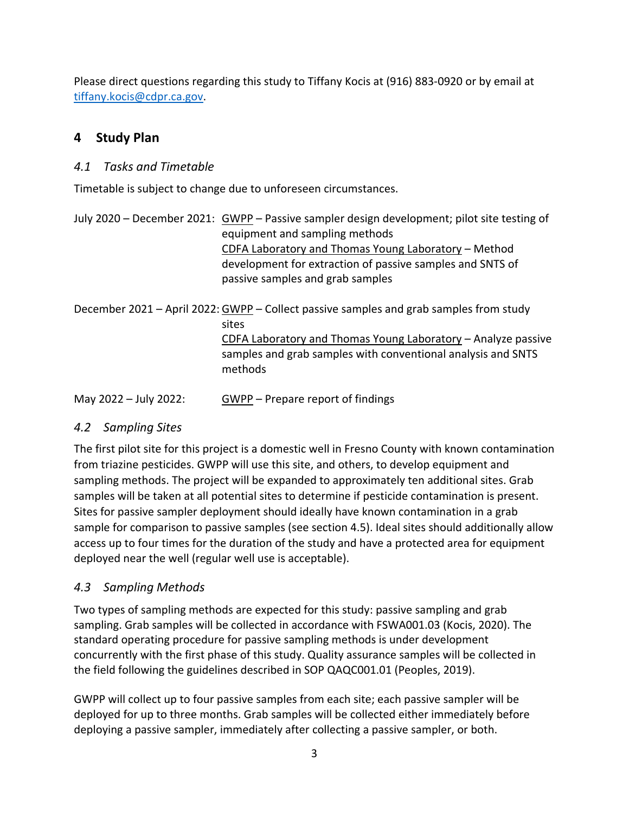Please direct questions regarding this study to Tiffany Kocis at (916) 883-0920 or by email at [tiffany.kocis@cdpr.ca.gov.](mailto:tiffany.kocis@cdpr.ca.gov)

# **4 Study Plan**

### *4.1 Tasks and Timetable*

Timetable is subject to change due to unforeseen circumstances.

|                       | July 2020 – December 2021: GWPP – Passive sampler design development; pilot site testing of<br>equipment and sampling methods<br>CDFA Laboratory and Thomas Young Laboratory – Method<br>development for extraction of passive samples and SNTS of<br>passive samples and grab samples |
|-----------------------|----------------------------------------------------------------------------------------------------------------------------------------------------------------------------------------------------------------------------------------------------------------------------------------|
|                       | December 2021 - April 2022: GWPP - Collect passive samples and grab samples from study<br>sites<br>CDFA Laboratory and Thomas Young Laboratory - Analyze passive<br>samples and grab samples with conventional analysis and SNTS<br>methods                                            |
| May 2022 - July 2022: | GWPP – Prepare report of findings                                                                                                                                                                                                                                                      |

### *4.2 Sampling Sites*

The first pilot site for this project is a domestic well in Fresno County with known contamination from triazine pesticides. GWPP will use this site, and others, to develop equipment and sampling methods. The project will be expanded to approximately ten additional sites. Grab samples will be taken at all potential sites to determine if pesticide contamination is present. Sites for passive sampler deployment should ideally have known contamination in a grab sample for comparison to passive samples (see section [4.5\)](#page-3-0). Ideal sites should additionally allow access up to four times for the duration of the study and have a protected area for equipment deployed near the well (regular well use is acceptable).

### *4.3 Sampling Methods*

Two types of sampling methods are expected for this study: passive sampling and grab sampling. Grab samples will be collected in accordance with FSWA001.03 (Kocis, 2020). The standard operating procedure for passive sampling methods is under development concurrently with the first phase of this study. Quality assurance samples will be collected in the field following the guidelines described in SOP QAQC001.01 (Peoples, 2019).

GWPP will collect up to four passive samples from each site; each passive sampler will be deployed for up to three months. Grab samples will be collected either immediately before deploying a passive sampler, immediately after collecting a passive sampler, or both.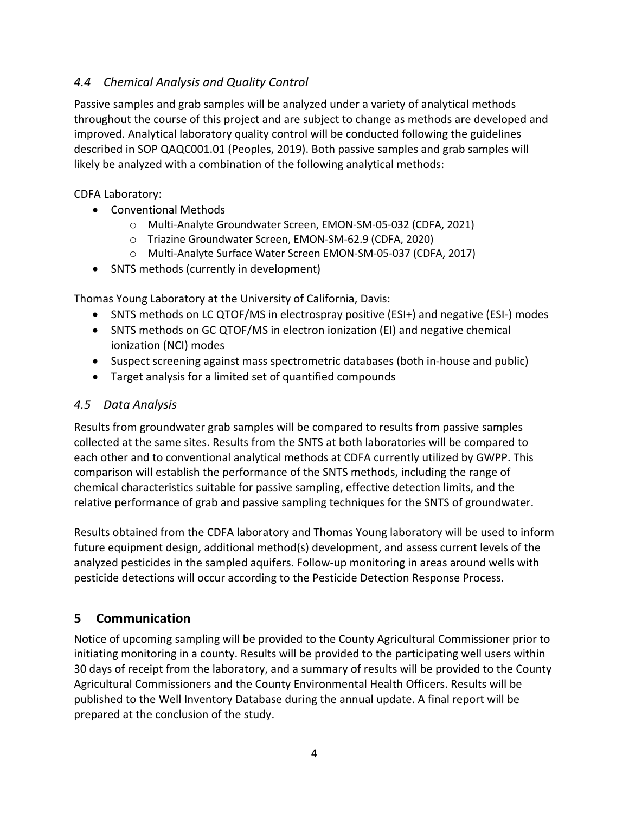## *4.4 Chemical Analysis and Quality Control*

Passive samples and grab samples will be analyzed under a variety of analytical methods throughout the course of this project and are subject to change as methods are developed and improved. Analytical laboratory quality control will be conducted following the guidelines described in SOP QAQC001.01 (Peoples, 2019). Both passive samples and grab samples will likely be analyzed with a combination of the following analytical methods:

CDFA Laboratory:

- Conventional Methods
	- o Multi-Analyte Groundwater Screen, EMON-SM-05-032 (CDFA, 2021)
	- o Triazine Groundwater Screen, EMON-SM-62.9 (CDFA, 2020)
	- o Multi-Analyte Surface Water Screen EMON-SM-05-037 (CDFA, 2017)
- SNTS methods (currently in development)

Thomas Young Laboratory at the University of California, Davis:

- SNTS methods on LC QTOF/MS in electrospray positive (ESI+) and negative (ESI-) modes
- SNTS methods on GC QTOF/MS in electron ionization (EI) and negative chemical ionization (NCI) modes
- Suspect screening against mass spectrometric databases (both in-house and public)
- Target analysis for a limited set of quantified compounds

### <span id="page-3-0"></span>*4.5 Data Analysis*

Results from groundwater grab samples will be compared to results from passive samples collected at the same sites. Results from the SNTS at both laboratories will be compared to each other and to conventional analytical methods at CDFA currently utilized by GWPP. This comparison will establish the performance of the SNTS methods, including the range of chemical characteristics suitable for passive sampling, effective detection limits, and the relative performance of grab and passive sampling techniques for the SNTS of groundwater.

Results obtained from the CDFA laboratory and Thomas Young laboratory will be used to inform future equipment design, additional method(s) development, and assess current levels of the analyzed pesticides in the sampled aquifers. Follow-up monitoring in areas around wells with pesticide detections will occur according to the Pesticide Detection Response Process.

## **5 Communication**

Notice of upcoming sampling will be provided to the County Agricultural Commissioner prior to initiating monitoring in a county. Results will be provided to the participating well users within 30 days of receipt from the laboratory, and a summary of results will be provided to the County Agricultural Commissioners and the County Environmental Health Officers. Results will be published to the Well Inventory Database during the annual update. A final report will be prepared at the conclusion of the study.